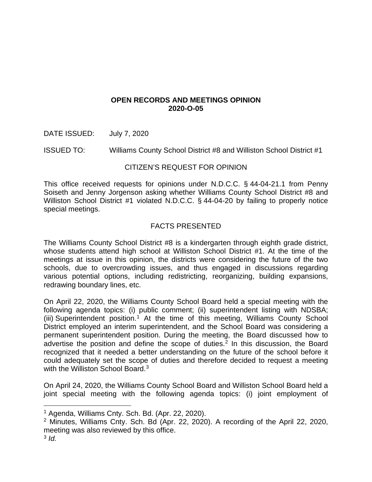## **OPEN RECORDS AND MEETINGS OPINION 2020-O-05**

DATE ISSUED: July 7, 2020

ISSUED TO: Williams County School District #8 and Williston School District #1

## CITIZEN'S REQUEST FOR OPINION

This office received requests for opinions under N.D.C.C. § 44-04-21.1 from Penny Soiseth and Jenny Jorgenson asking whether Williams County School District #8 and Williston School District #1 violated N.D.C.C. § 44-04-20 by failing to properly notice special meetings.

# FACTS PRESENTED

The Williams County School District #8 is a kindergarten through eighth grade district, whose students attend high school at Williston School District #1. At the time of the meetings at issue in this opinion, the districts were considering the future of the two schools, due to overcrowding issues, and thus engaged in discussions regarding various potential options, including redistricting, reorganizing, building expansions, redrawing boundary lines, etc.

On April 22, 2020, the Williams County School Board held a special meeting with the following agenda topics: (i) public comment; (ii) superintendent listing with NDSBA; (iii) Superintendent position.<sup>[1](#page-0-0)</sup> At the time of this meeting, Williams County School District employed an interim superintendent, and the School Board was considering a permanent superintendent position. During the meeting, the Board discussed how to advertise the position and define the scope of duties. $2$  In this discussion, the Board recognized that it needed a better understanding on the future of the school before it could adequately set the scope of duties and therefore decided to request a meeting with the Williston School Board.<sup>[3](#page-0-2)</sup>

On April 24, 2020, the Williams County School Board and Williston School Board held a joint special meeting with the following agenda topics: (i) joint employment of

<span id="page-0-0"></span><sup>1</sup> Agenda, Williams Cnty. Sch. Bd. (Apr. 22, 2020).

<span id="page-0-2"></span><span id="page-0-1"></span><sup>2</sup> Minutes, Williams Cnty. Sch. Bd (Apr. 22, 2020). A recording of the April 22, 2020, meeting was also reviewed by this office.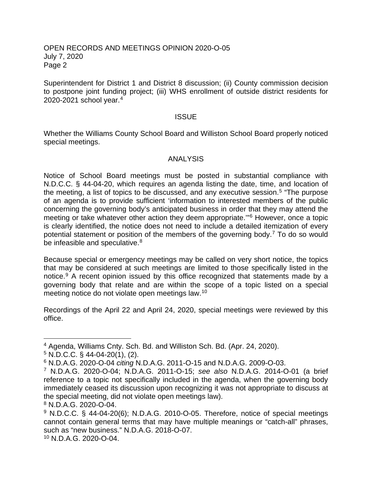#### OPEN RECORDS AND MEETINGS OPINION 2020-O-05 July 7, 2020 Page 2

Superintendent for District 1 and District 8 discussion; (ii) County commission decision to postpone joint funding project; (iii) WHS enrollment of outside district residents for 2020-2021 school year.[4](#page-1-0)

#### **ISSUE**

Whether the Williams County School Board and Williston School Board properly noticed special meetings.

### ANALYSIS

Notice of School Board meetings must be posted in substantial compliance with N.D.C.C. § 44-04-20, which requires an agenda listing the date, time, and location of the meeting, a list of topics to be discussed, and any executive session.<sup>[5](#page-1-1)</sup> "The purpose of an agenda is to provide sufficient 'information to interested members of the public concerning the governing body's anticipated business in order that they may attend the meeting or take whatever other action they deem appropriate.'"[6](#page-1-2) However, once a topic is clearly identified, the notice does not need to include a detailed itemization of every potential statement or position of the members of the governing body.[7](#page-1-3) To do so would be infeasible and speculative.<sup>[8](#page-1-4)</sup>

Because special or emergency meetings may be called on very short notice, the topics that may be considered at such meetings are limited to those specifically listed in the notice.[9](#page-1-5) A recent opinion issued by this office recognized that statements made by a governing body that relate and are within the scope of a topic listed on a special meeting notice do not violate open meetings law.[10](#page-1-6)

Recordings of the April 22 and April 24, 2020, special meetings were reviewed by this office.

<span id="page-1-4"></span><sup>8</sup> N.D.A.G. 2020-O-04.

<span id="page-1-0"></span><sup>4</sup> Agenda, Williams Cnty. Sch. Bd. and Williston Sch. Bd. (Apr. 24, 2020).

<span id="page-1-1"></span> $5$  N.D.C.C. § 44-04-20(1), (2).

<span id="page-1-2"></span><sup>6</sup> N.D.A.G. 2020-O-04 *citing* N.D.A.G. 2011-O-15 and N.D.A.G. 2009-O-03.

<span id="page-1-3"></span><sup>7</sup> N.D.A.G. 2020-O-04; N.D.A.G. 2011-O-15; *see also* N.D.A.G. 2014-O-01 (a brief reference to a topic not specifically included in the agenda, when the governing body immediately ceased its discussion upon recognizing it was not appropriate to discuss at the special meeting, did not violate open meetings law).

<span id="page-1-6"></span><span id="page-1-5"></span><sup>&</sup>lt;sup>9</sup> N.D.C.C. § 44-04-20(6); N.D.A.G. 2010-O-05. Therefore, notice of special meetings cannot contain general terms that may have multiple meanings or "catch-all" phrases, such as "new business." N.D.A.G. 2018-O-07. <sup>10</sup> N.D.A.G. 2020-O-04.